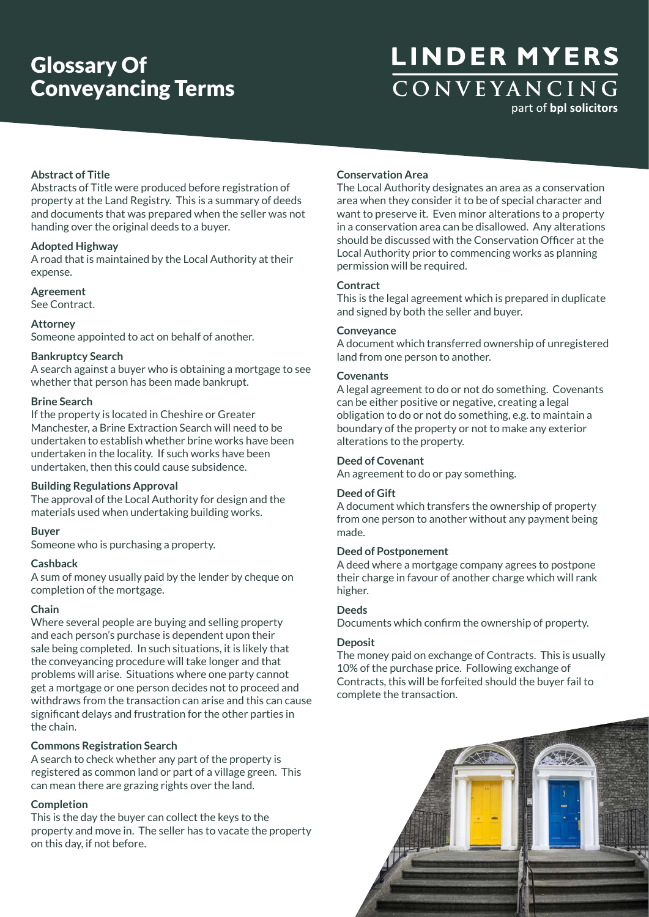## **LINDER MYERS** CONVEYANCING part of bpl solicitors

**Abstract of Title**

Abstracts of Title were produced before registration of property at the Land Registry. This is a summary of deeds and documents that was prepared when the seller was not handing over the original deeds to a buyer.

### **Adopted Highway**

A road that is maintained by the Local Authority at their expense.

## **Agreement**

See Contract.

### **Attorney**

Someone appointed to act on behalf of another.

## **Bankruptcy Search**

A search against a buyer who is obtaining a mortgage to see whether that person has been made bankrupt.

## **Brine Search**

If the property is located in Cheshire or Greater Manchester, a Brine Extraction Search will need to be undertaken to establish whether brine works have been undertaken in the locality. If such works have been undertaken, then this could cause subsidence.

### **Building Regulations Approval**

The approval of the Local Authority for design and the materials used when undertaking building works.

### **Buyer**

Someone who is purchasing a property.

## **Cashback**

A sum of money usually paid by the lender by cheque on completion of the mortgage.

### **Chain**

Where several people are buying and selling property and each person's purchase is dependent upon their sale being completed. In such situations, it is likely that the conveyancing procedure will take longer and that problems will arise. Situations where one party cannot get a mortgage or one person decides not to proceed and withdraws from the transaction can arise and this can cause significant delays and frustration for the other parties in the chain.

## **Commons Registration Search**

A search to check whether any part of the property is registered as common land or part of a village green. This can mean there are grazing rights over the land.

## **Completion**

This is the day the buyer can collect the keys to the property and move in. The seller has to vacate the property on this day, if not before.

## **Conservation Area**

The Local Authority designates an area as a conservation area when they consider it to be of special character and want to preserve it. Even minor alterations to a property in a conservation area can be disallowed. Any alterations should be discussed with the Conservation Officer at the Local Authority prior to commencing works as planning permission will be required.

## **Contract**

This is the legal agreement which is prepared in duplicate and signed by both the seller and buyer.

### **Conveyance**

A document which transferred ownership of unregistered land from one person to another.

### **Covenants**

A legal agreement to do or not do something. Covenants can be either positive or negative, creating a legal obligation to do or not do something, e.g. to maintain a boundary of the property or not to make any exterior alterations to the property.

## **Deed of Covenant**

An agreement to do or pay something.

## **Deed of Gift**

A document which transfers the ownership of property from one person to another without any payment being made.

## **Deed of Postponement**

A deed where a mortgage company agrees to postpone their charge in favour of another charge which will rank higher.

### **Deeds**

Documents which confirm the ownership of property.

### **Deposit**

The money paid on exchange of Contracts. This is usually 10% of the purchase price. Following exchange of Contracts, this will be forfeited should the buyer fail to complete the transaction.

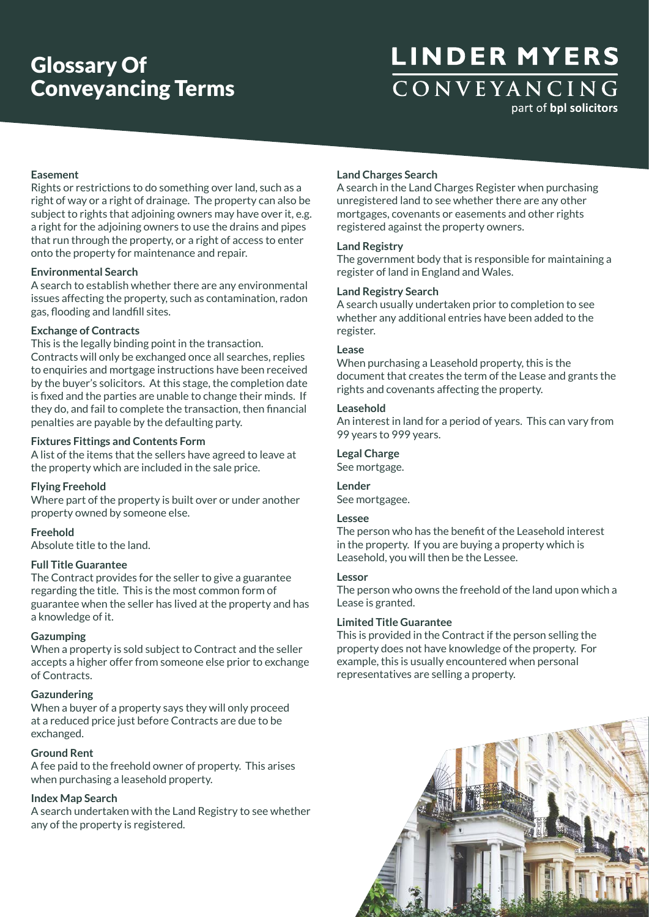## **LINDER MYERS** CONVEYANCING part of bpl solicitors

**Easement**

Rights or restrictions to do something over land, such as a right of way or a right of drainage. The property can also be subject to rights that adjoining owners may have over it, e.g. a right for the adjoining owners to use the drains and pipes that run through the property, or a right of access to enter onto the property for maintenance and repair.

### **Environmental Search**

A search to establish whether there are any environmental issues affecting the property, such as contamination, radon gas, flooding and landfill sites.

## **Exchange of Contracts**

This is the legally binding point in the transaction. Contracts will only be exchanged once all searches, replies to enquiries and mortgage instructions have been received by the buyer's solicitors. At this stage, the completion date is fixed and the parties are unable to change their minds. If they do, and fail to complete the transaction, then financial penalties are payable by the defaulting party.

## **Fixtures Fittings and Contents Form**

A list of the items that the sellers have agreed to leave at the property which are included in the sale price.

### **Flying Freehold**

Where part of the property is built over or under another property owned by someone else.

### **Freehold**

Absolute title to the land.

### **Full Title Guarantee**

The Contract provides for the seller to give a guarantee regarding the title. This is the most common form of guarantee when the seller has lived at the property and has a knowledge of it.

### **Gazumping**

When a property is sold subject to Contract and the seller accepts a higher offer from someone else prior to exchange of Contracts.

### **Gazundering**

When a buyer of a property says they will only proceed at a reduced price just before Contracts are due to be exchanged.

### **Ground Rent**

A fee paid to the freehold owner of property. This arises when purchasing a leasehold property.

## **Index Map Search**

A search undertaken with the Land Registry to see whether any of the property is registered.

## **Land Charges Search**

A search in the Land Charges Register when purchasing unregistered land to see whether there are any other mortgages, covenants or easements and other rights registered against the property owners.

### **Land Registry**

The government body that is responsible for maintaining a register of land in England and Wales.

### **Land Registry Search**

A search usually undertaken prior to completion to see whether any additional entries have been added to the register.

### **Lease**

When purchasing a Leasehold property, this is the document that creates the term of the Lease and grants the rights and covenants affecting the property.

### **Leasehold**

An interest in land for a period of years. This can vary from 99 years to 999 years.

## **Legal Charge**

See mortgage.

## **Lender**

See mortgagee.

### **Lessee**

The person who has the benefit of the Leasehold interest in the property. If you are buying a property which is Leasehold, you will then be the Lessee.

### **Lessor**

The person who owns the freehold of the land upon which a Lease is granted.

### **Limited Title Guarantee**

This is provided in the Contract if the person selling the property does not have knowledge of the property. For example, this is usually encountered when personal representatives are selling a property.

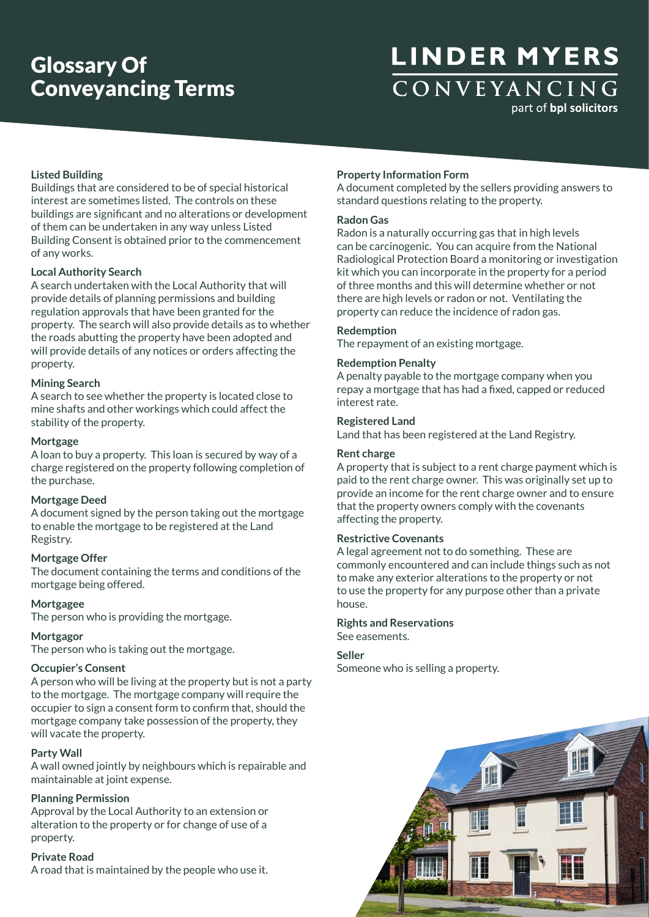## **LINDER MYERS** CONVEYANCING part of bpl solicitors

## **Listed Building**

Buildings that are considered to be of special historical interest are sometimes listed. The controls on these buildings are significant and no alterations or development of them can be undertaken in any way unless Listed Building Consent is obtained prior to the commencement of any works.

### **Local Authority Search**

A search undertaken with the Local Authority that will provide details of planning permissions and building regulation approvals that have been granted for the property. The search will also provide details as to whether the roads abutting the property have been adopted and will provide details of any notices or orders affecting the property.

#### **Mining Search**

A search to see whether the property is located close to mine shafts and other workings which could affect the stability of the property.

### **Mortgage**

A loan to buy a property. This loan is secured by way of a charge registered on the property following completion of the purchase.

### **Mortgage Deed**

A document signed by the person taking out the mortgage to enable the mortgage to be registered at the Land Registry.

#### **Mortgage Offer**

The document containing the terms and conditions of the mortgage being offered.

#### **Mortgagee**

The person who is providing the mortgage.

### **Mortgagor**

The person who is taking out the mortgage.

### **Occupier's Consent**

A person who will be living at the property but is not a party to the mortgage. The mortgage company will require the occupier to sign a consent form to confirm that, should the mortgage company take possession of the property, they will vacate the property.

## **Party Wall**

A wall owned jointly by neighbours which is repairable and maintainable at joint expense.

### **Planning Permission**

Approval by the Local Authority to an extension or alteration to the property or for change of use of a property.

## **Private Road**

A road that is maintained by the people who use it.

### **Property Information Form**

A document completed by the sellers providing answers to standard questions relating to the property.

### **Radon Gas**

Radon is a naturally occurring gas that in high levels can be carcinogenic. You can acquire from the National Radiological Protection Board a monitoring or investigation kit which you can incorporate in the property for a period of three months and this will determine whether or not there are high levels or radon or not. Ventilating the property can reduce the incidence of radon gas.

### **Redemption**

The repayment of an existing mortgage.

### **Redemption Penalty**

A penalty payable to the mortgage company when you repay a mortgage that has had a fixed, capped or reduced interest rate.

## **Registered Land**

Land that has been registered at the Land Registry.

### **Rent charge**

A property that is subject to a rent charge payment which is paid to the rent charge owner. This was originally set up to provide an income for the rent charge owner and to ensure that the property owners comply with the covenants affecting the property.

### **Restrictive Covenants**

A legal agreement not to do something. These are commonly encountered and can include things such as not to make any exterior alterations to the property or not to use the property for any purpose other than a private house.

#### **Rights and Reservations**

See easements.

#### **Seller**

Someone who is selling a property.